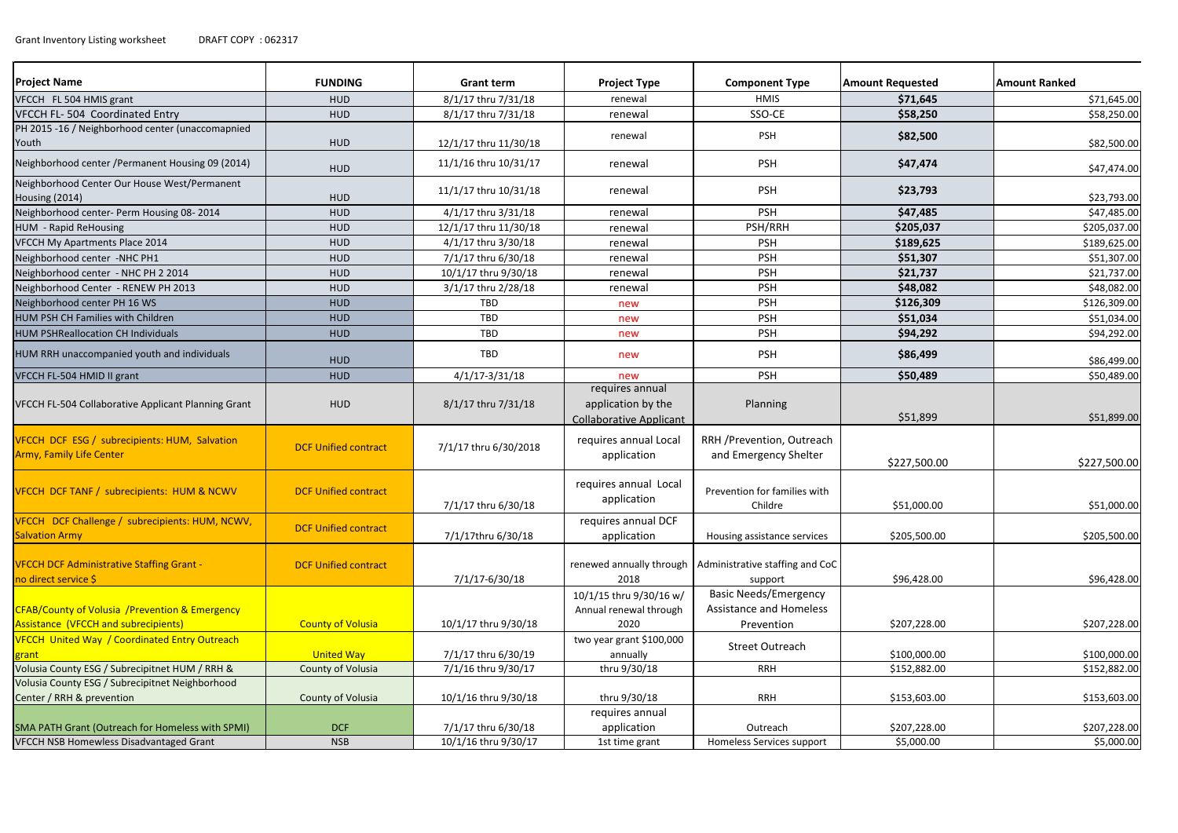| <b>Project Name</b>                                                                    | <b>FUNDING</b>              | <b>Grant term</b>     | <b>Project Type</b>                                                     | <b>Component Type</b>                                                        | <b>Amount Requested</b> | Amount Ranked |
|----------------------------------------------------------------------------------------|-----------------------------|-----------------------|-------------------------------------------------------------------------|------------------------------------------------------------------------------|-------------------------|---------------|
| VFCCH FL 504 HMIS grant                                                                | <b>HUD</b>                  | 8/1/17 thru 7/31/18   | renewal                                                                 | <b>HMIS</b>                                                                  | \$71,645                | \$71,645.00   |
| VFCCH FL-504 Coordinated Entry                                                         | <b>HUD</b>                  | 8/1/17 thru 7/31/18   | renewal                                                                 | SSO-CE                                                                       | \$58,250                | \$58,250.00   |
| PH 2015 -16 / Neighborhood center (unaccomapnied<br>Youth                              | HUD                         | 12/1/17 thru 11/30/18 | renewal                                                                 | <b>PSH</b>                                                                   | \$82,500                | \$82,500.00   |
| Neighborhood center / Permanent Housing 09 (2014)                                      | <b>HUD</b>                  | 11/1/16 thru 10/31/17 | renewal                                                                 | <b>PSH</b>                                                                   | \$47,474                | \$47,474.00   |
| Neighborhood Center Our House West/Permanent<br>Housing (2014)                         | <b>HUD</b>                  | 11/1/17 thru 10/31/18 | renewal                                                                 | <b>PSH</b>                                                                   | \$23,793                | \$23,793.00   |
| Neighborhood center- Perm Housing 08-2014                                              | <b>HUD</b>                  | 4/1/17 thru 3/31/18   | renewal                                                                 | <b>PSH</b>                                                                   | \$47,485                | \$47,485.00   |
| <b>HUM - Rapid ReHousing</b>                                                           | <b>HUD</b>                  | 12/1/17 thru 11/30/18 | renewal                                                                 | PSH/RRH                                                                      | \$205,037               | \$205,037.00  |
| VFCCH My Apartments Place 2014                                                         | <b>HUD</b>                  | 4/1/17 thru 3/30/18   | renewal                                                                 | <b>PSH</b>                                                                   | \$189,625               | \$189,625.00  |
| Neighborhood center -NHC PH1                                                           | <b>HUD</b>                  | 7/1/17 thru 6/30/18   | renewal                                                                 | <b>PSH</b>                                                                   | \$51,307                | \$51,307.00   |
| Neighborhood center - NHC PH 2 2014                                                    | <b>HUD</b>                  | 10/1/17 thru 9/30/18  | renewal                                                                 | <b>PSH</b>                                                                   | \$21,737                | \$21,737.00   |
| Neighborhood Center - RENEW PH 2013                                                    | <b>HUD</b>                  | 3/1/17 thru 2/28/18   | renewal                                                                 | <b>PSH</b>                                                                   | \$48,082                | \$48,082.00   |
| Neighborhood center PH 16 WS                                                           | <b>HUD</b>                  | TBD                   | new                                                                     | <b>PSH</b>                                                                   | \$126,309               | \$126,309.00  |
| <b>HUM PSH CH Families with Children</b>                                               | <b>HUD</b>                  | TBD                   | new                                                                     | <b>PSH</b>                                                                   | \$51,034                | \$51,034.00   |
| <b>HUM PSHReallocation CH Individuals</b>                                              | <b>HUD</b>                  | TBD                   | new                                                                     | <b>PSH</b>                                                                   | \$94,292                | \$94,292.00   |
| HUM RRH unaccompanied youth and individuals                                            | <b>HUD</b>                  | TBD                   | new                                                                     | <b>PSH</b>                                                                   | \$86,499                | \$86,499.00   |
| VFCCH FL-504 HMID II grant                                                             | <b>HUD</b>                  | $4/1/17 - 3/31/18$    | new                                                                     | <b>PSH</b>                                                                   | \$50,489                | \$50,489.00   |
| VFCCH FL-504 Collaborative Applicant Planning Grant                                    | <b>HUD</b>                  | 8/1/17 thru 7/31/18   | requires annual<br>application by the<br><b>Collaborative Applicant</b> | Planning                                                                     | \$51,899                | \$51,899.00   |
| VFCCH DCF ESG / subrecipients: HUM, Salvation<br><b>Army, Family Life Center</b>       | <b>DCF Unified contract</b> | 7/1/17 thru 6/30/2018 | requires annual Local<br>application                                    | RRH / Prevention, Outreach<br>and Emergency Shelter                          | \$227,500.00            | \$227,500.00  |
| VFCCH DCF TANF / subrecipients: HUM & NCWV                                             | <b>DCF Unified contract</b> | 7/1/17 thru 6/30/18   | requires annual Local<br>application                                    | Prevention for families with<br>Childre                                      | \$51,000.00             | \$51,000.00   |
| VFCCH DCF Challenge / subrecipients: HUM, NCWV,<br><b>Salvation Army</b>               | <b>DCF Unified contract</b> | 7/1/17thru 6/30/18    | requires annual DCF<br>application                                      | Housing assistance services                                                  | \$205,500.00            | \$205,500.00  |
| <b>VFCCH DCF Administrative Staffing Grant -</b><br>no direct service \$               | <b>DCF Unified contract</b> | 7/1/17-6/30/18        | 2018                                                                    | renewed annually through   Administrative staffing and CoC<br>support        | \$96,428.00             | \$96,428.00   |
| CFAB/County of Volusia /Prevention & Emergency<br>Assistance (VFCCH and subrecipients) | <b>County of Volusia</b>    | 10/1/17 thru 9/30/18  | 10/1/15 thru 9/30/16 w/<br>Annual renewal through<br>2020               | <b>Basic Needs/Emergency</b><br><b>Assistance and Homeless</b><br>Prevention | \$207,228.00            | \$207,228.00  |
| VFCCH United Way / Coordinated Entry Outreach<br>grant                                 | <b>United Way</b>           | 7/1/17 thru 6/30/19   | two year grant \$100,000<br>annually                                    | <b>Street Outreach</b>                                                       | \$100,000.00            | \$100,000.00  |
| Volusia County ESG / Subrecipitnet HUM / RRH &                                         | County of Volusia           | 7/1/16 thru 9/30/17   | thru 9/30/18                                                            | <b>RRH</b>                                                                   | \$152,882.00            | \$152,882.00  |
| Volusia County ESG / Subrecipitnet Neighborhood<br>Center / RRH & prevention           | County of Volusia           | 10/1/16 thru 9/30/18  | thru 9/30/18                                                            | <b>RRH</b>                                                                   | \$153,603.00            | \$153,603.00  |
| SMA PATH Grant (Outreach for Homeless with SPMI)                                       | <b>DCF</b>                  | 7/1/17 thru 6/30/18   | requires annual<br>application                                          | Outreach                                                                     | \$207,228.00            | \$207,228.00  |
| <b>VFCCH NSB Homewless Disadvantaged Grant</b>                                         | <b>NSB</b>                  | 10/1/16 thru 9/30/17  | 1st time grant                                                          | Homeless Services support                                                    | \$5,000.00              | \$5,000.00    |